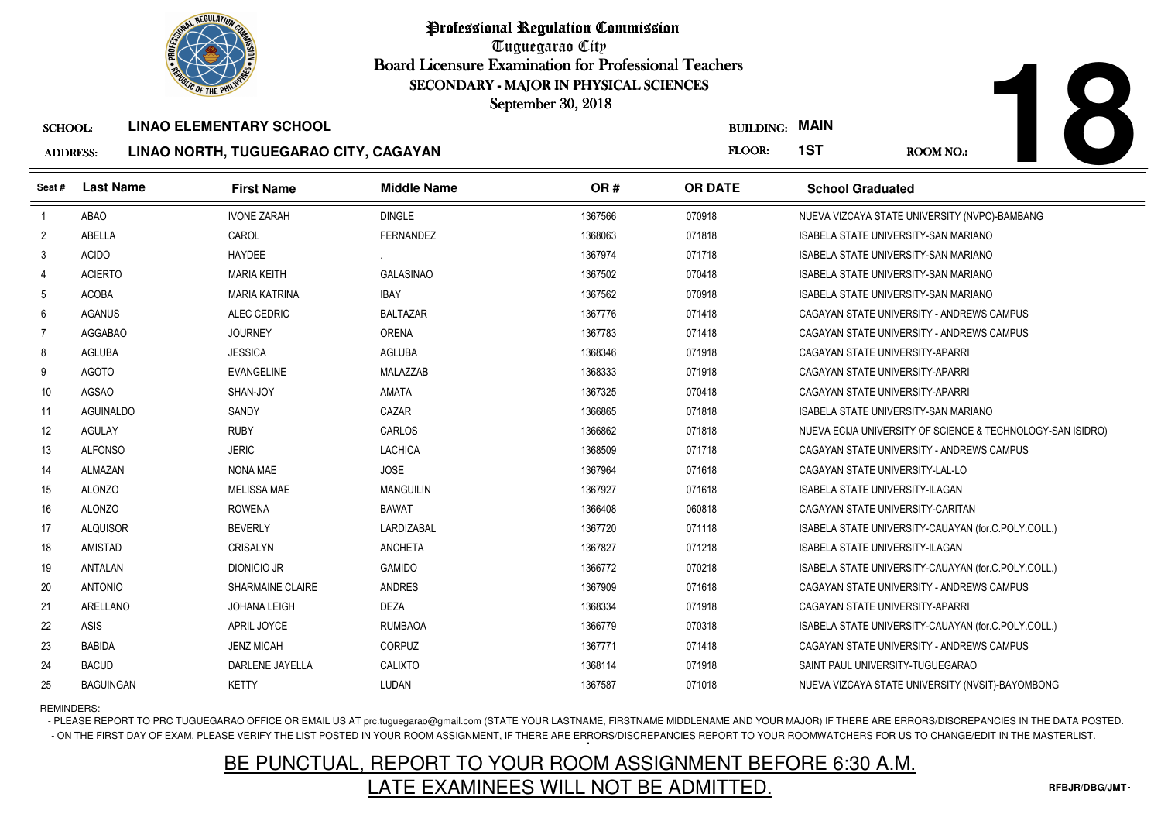

Tuguegarao City Board Licensure Examination for Professional Teachers September 30, 2018

#### ADDRESS:**LINAO NORTH, TUGUEGARAO CITY, CAGAYAN**

|--|

|                                   | <b>OF THE PHILIP</b> |                                                                         | SECONDARY - MAJOR IN PHYSICAL SCIENCES<br>September 30, 2018 |         |                                 |                                             |                                                            |
|-----------------------------------|----------------------|-------------------------------------------------------------------------|--------------------------------------------------------------|---------|---------------------------------|---------------------------------------------|------------------------------------------------------------|
| <b>SCHOOL:</b><br><b>ADDRESS:</b> |                      | <b>LINAO ELEMENTARY SCHOOL</b><br>LINAO NORTH, TUGUEGARAO CITY, CAGAYAN |                                                              |         | <b>BUILDING: MAIN</b><br>FLOOR: | 1ST                                         | <b>ROOM NO.:</b>                                           |
| Seat#                             | <b>Last Name</b>     | <b>First Name</b>                                                       | <b>Middle Name</b>                                           | OR#     | <b>OR DATE</b>                  | <b>School Graduated</b>                     |                                                            |
| $\overline{1}$                    | <b>ABAO</b>          | <b>IVONE ZARAH</b>                                                      | <b>DINGLE</b>                                                | 1367566 | 070918                          |                                             | NUEVA VIZCAYA STATE UNIVERSITY (NVPC)-BAMBANG              |
| $\overline{2}$                    | ABELLA               | CAROL                                                                   | <b>FERNANDEZ</b>                                             | 1368063 | 071818                          | <b>ISABELA STATE UNIVERSITY-SAN MARIANO</b> |                                                            |
| 3                                 | <b>ACIDO</b>         | <b>HAYDEE</b>                                                           |                                                              | 1367974 | 071718                          | <b>ISABELA STATE UNIVERSITY-SAN MARIANO</b> |                                                            |
| $\overline{4}$                    | <b>ACIERTO</b>       | <b>MARIA KEITH</b>                                                      | <b>GALASINAO</b>                                             | 1367502 | 070418                          | <b>ISABELA STATE UNIVERSITY-SAN MARIANO</b> |                                                            |
| -5                                | ACOBA                | <b>MARIA KATRINA</b>                                                    | <b>IBAY</b>                                                  | 1367562 | 070918                          | ISABELA STATE UNIVERSITY-SAN MARIANO        |                                                            |
| 6                                 | <b>AGANUS</b>        | ALEC CEDRIC                                                             | <b>BALTAZAR</b>                                              | 1367776 | 071418                          | CAGAYAN STATE UNIVERSITY - ANDREWS CAMPUS   |                                                            |
| 7                                 | <b>AGGABAO</b>       | <b>JOURNEY</b>                                                          | <b>ORENA</b>                                                 | 1367783 | 071418                          | CAGAYAN STATE UNIVERSITY - ANDREWS CAMPUS   |                                                            |
| 8                                 | <b>AGLUBA</b>        | <b>JESSICA</b>                                                          | AGLUBA                                                       | 1368346 | 071918                          | CAGAYAN STATE UNIVERSITY-APARRI             |                                                            |
| 9                                 | <b>AGOTO</b>         | <b>EVANGELINE</b>                                                       | MALAZZAB                                                     | 1368333 | 071918                          | CAGAYAN STATE UNIVERSITY-APARRI             |                                                            |
| 10                                | <b>AGSAO</b>         | SHAN-JOY                                                                | <b>AMATA</b>                                                 | 1367325 | 070418                          | CAGAYAN STATE UNIVERSITY-APARRI             |                                                            |
| 11                                | <b>AGUINALDO</b>     | SANDY                                                                   | CAZAR                                                        | 1366865 | 071818                          | ISABELA STATE UNIVERSITY-SAN MARIANO        |                                                            |
| 12                                | <b>AGULAY</b>        | <b>RUBY</b>                                                             | <b>CARLOS</b>                                                | 1366862 | 071818                          |                                             | NUEVA ECIJA UNIVERSITY OF SCIENCE & TECHNOLOGY-SAN ISIDRO) |
| 13                                | <b>ALFONSO</b>       | <b>JERIC</b>                                                            | <b>LACHICA</b>                                               | 1368509 | 071718                          | CAGAYAN STATE UNIVERSITY - ANDREWS CAMPUS   |                                                            |
| 14                                | ALMAZAN              | NONA MAE                                                                | <b>JOSE</b>                                                  | 1367964 | 071618                          | CAGAYAN STATE UNIVERSITY-LAL-LO             |                                                            |
| 15                                | <b>ALONZO</b>        | <b>MELISSA MAE</b>                                                      | <b>MANGUILIN</b>                                             | 1367927 | 071618                          | <b>ISABELA STATE UNIVERSITY-ILAGAN</b>      |                                                            |
| 16                                | <b>ALONZO</b>        | <b>ROWENA</b>                                                           | <b>BAWAT</b>                                                 | 1366408 | 060818                          | CAGAYAN STATE UNIVERSITY-CARITAN            |                                                            |
| 17                                | <b>ALQUISOR</b>      | <b>BEVERLY</b>                                                          | LARDIZABAL                                                   | 1367720 | 071118                          |                                             | ISABELA STATE UNIVERSITY-CAUAYAN (for.C.POLY.COLL.)        |
| 18                                | <b>AMISTAD</b>       | <b>CRISALYN</b>                                                         | <b>ANCHETA</b>                                               | 1367827 | 071218                          | ISABELA STATE UNIVERSITY-ILAGAN             |                                                            |
| 19                                | <b>ANTALAN</b>       | DIONICIO JR                                                             | <b>GAMIDO</b>                                                | 1366772 | 070218                          |                                             | ISABELA STATE UNIVERSITY-CAUAYAN (for.C.POLY.COLL.)        |
| 20                                | <b>ANTONIO</b>       | <b>SHARMAINE CLAIRE</b>                                                 | <b>ANDRES</b>                                                | 1367909 | 071618                          | CAGAYAN STATE UNIVERSITY - ANDREWS CAMPUS   |                                                            |
| 21                                | ARELLANO             | JOHANA LEIGH                                                            | <b>DEZA</b>                                                  | 1368334 | 071918                          | CAGAYAN STATE UNIVERSITY-APARRI             |                                                            |
| 22                                | ASIS                 | APRIL JOYCE                                                             | <b>RUMBAOA</b>                                               | 1366779 | 070318                          |                                             | ISABELA STATE UNIVERSITY-CAUAYAN (for.C.POLY.COLL.)        |
| 23                                | <b>BABIDA</b>        | <b>JENZ MICAH</b>                                                       | <b>CORPUZ</b>                                                | 1367771 | 071418                          | CAGAYAN STATE UNIVERSITY - ANDREWS CAMPUS   |                                                            |
| 24                                | <b>BACUD</b>         | DARLENE JAYELLA                                                         | CALIXTO                                                      | 1368114 | 071918                          | SAINT PAUL UNIVERSITY-TUGUEGARAO            |                                                            |
| 25                                | <b>BAGUINGAN</b>     | <b>KETTY</b>                                                            | LUDAN                                                        | 1367587 | 071018                          |                                             | NUEVA VIZCAYA STATE UNIVERSITY (NVSIT)-BAYOMBONG           |

REMINDERS:

- PLEASE REPORT TO PRC TUGUEGARAO OFFICE OR EMAIL US AT prc.tuguegarao@gmail.com (STATE YOUR LASTNAME, FIRSTNAME MIDDLENAME AND YOUR MAJOR) IF THERE ARE ERRORS/DISCREPANCIES IN THE DATA POSTED. - ON THE FIRST DAY OF EXAM, PLEASE VERIFY THE LIST POSTED IN YOUR ROOM ASSIGNMENT, IF THERE ARE ERRORS/DISCREPANCIES REPORT TO YOUR ROOMWATCHERS FOR US TO CHANGE/EDIT IN THE MASTERLIST.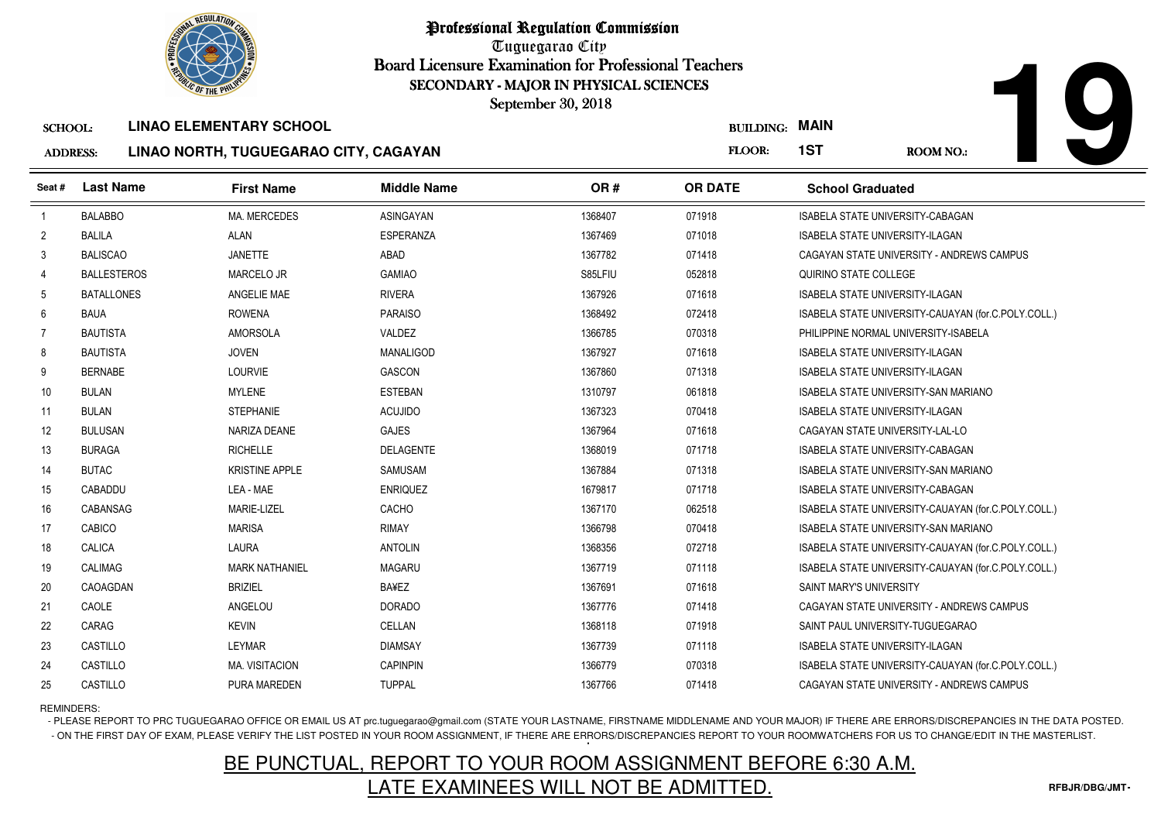

Tuguegarao City Board Licensure Examination for Professional Teachers September 30, 2018

### ADDRESS:**LINAO NORTH, TUGUEGARAO CITY, CAGAYAN**

|                 | <b><i>OLIC OF THE PHILIPS</i></b> |                                       | SECONDARY - MAJOR IN PHYSICAL SCIENCES<br>September 30, 2018 |         |                       |                                             |                                                     |
|-----------------|-----------------------------------|---------------------------------------|--------------------------------------------------------------|---------|-----------------------|---------------------------------------------|-----------------------------------------------------|
| <b>SCHOOL:</b>  |                                   | <b>LINAO ELEMENTARY SCHOOL</b>        |                                                              |         | <b>BUILDING: MAIN</b> |                                             |                                                     |
| <b>ADDRESS:</b> |                                   | LINAO NORTH, TUGUEGARAO CITY, CAGAYAN |                                                              |         | FLOOR:                | 1ST                                         | <b>ROOM NO.:</b>                                    |
| Seat#           | <b>Last Name</b>                  | <b>First Name</b>                     | <b>Middle Name</b>                                           | OR#     | <b>OR DATE</b>        | <b>School Graduated</b>                     |                                                     |
| -1              | <b>BALABBO</b>                    | <b>MA. MERCEDES</b>                   | ASINGAYAN                                                    | 1368407 | 071918                | ISABELA STATE UNIVERSITY-CABAGAN            |                                                     |
| $\overline{2}$  | <b>BALILA</b>                     | <b>ALAN</b>                           | ESPERANZA                                                    | 1367469 | 071018                | <b>ISABELA STATE UNIVERSITY-ILAGAN</b>      |                                                     |
| 3               | <b>BALISCAO</b>                   | <b>JANETTE</b>                        | ABAD                                                         | 1367782 | 071418                |                                             | CAGAYAN STATE UNIVERSITY - ANDREWS CAMPUS           |
| $\overline{4}$  | <b>BALLESTEROS</b>                | MARCELO JR                            | <b>GAMIAO</b>                                                | S85LFIU | 052818                | QUIRINO STATE COLLEGE                       |                                                     |
| 5               | <b>BATALLONES</b>                 | ANGELIE MAE                           | <b>RIVERA</b>                                                | 1367926 | 071618                | <b>ISABELA STATE UNIVERSITY-ILAGAN</b>      |                                                     |
| 6               | <b>BAUA</b>                       | <b>ROWENA</b>                         | <b>PARAISO</b>                                               | 1368492 | 072418                |                                             | ISABELA STATE UNIVERSITY-CAUAYAN (for.C.POLY.COLL.) |
| $\overline{7}$  | <b>BAUTISTA</b>                   | <b>AMORSOLA</b>                       | VALDEZ                                                       | 1366785 | 070318                | PHILIPPINE NORMAL UNIVERSITY-ISABELA        |                                                     |
| 8               | <b>BAUTISTA</b>                   | <b>JOVEN</b>                          | MANALIGOD                                                    | 1367927 | 071618                | ISABELA STATE UNIVERSITY-ILAGAN             |                                                     |
| 9               | <b>BERNABE</b>                    | <b>LOURVIE</b>                        | <b>GASCON</b>                                                | 1367860 | 071318                | <b>ISABELA STATE UNIVERSITY-ILAGAN</b>      |                                                     |
| 10              | <b>BULAN</b>                      | <b>MYLENE</b>                         | <b>ESTEBAN</b>                                               | 1310797 | 061818                | ISABELA STATE UNIVERSITY-SAN MARIANO        |                                                     |
| 11              | <b>BULAN</b>                      | <b>STEPHANIE</b>                      | <b>ACUJIDO</b>                                               | 1367323 | 070418                | <b>ISABELA STATE UNIVERSITY-ILAGAN</b>      |                                                     |
| 12              | <b>BULUSAN</b>                    | NARIZA DEANE                          | <b>GAJES</b>                                                 | 1367964 | 071618                | CAGAYAN STATE UNIVERSITY-LAL-LO             |                                                     |
| 13              | <b>BURAGA</b>                     | <b>RICHELLE</b>                       | DELAGENTE                                                    | 1368019 | 071718                | ISABELA STATE UNIVERSITY-CABAGAN            |                                                     |
| 14              | <b>BUTAC</b>                      | <b>KRISTINE APPLE</b>                 | <b>SAMUSAM</b>                                               | 1367884 | 071318                | <b>ISABELA STATE UNIVERSITY-SAN MARIANO</b> |                                                     |
| 15              | CABADDU                           | LEA - MAE                             | <b>ENRIQUEZ</b>                                              | 1679817 | 071718                | ISABELA STATE UNIVERSITY-CABAGAN            |                                                     |
| 16              | CABANSAG                          | MARIE-LIZEL                           | CACHO                                                        | 1367170 | 062518                |                                             | ISABELA STATE UNIVERSITY-CAUAYAN (for C.POLY.COLL.) |
| 17              | CABICO                            | <b>MARISA</b>                         | <b>RIMAY</b>                                                 | 1366798 | 070418                | ISABELA STATE UNIVERSITY-SAN MARIANO        |                                                     |
| 18              | CALICA                            | LAURA                                 | <b>ANTOLIN</b>                                               | 1368356 | 072718                |                                             | ISABELA STATE UNIVERSITY-CAUAYAN (for C.POLY.COLL.) |
| 19              | <b>CALIMAG</b>                    | <b>MARK NATHANIEL</b>                 | <b>MAGARU</b>                                                | 1367719 | 071118                |                                             | ISABELA STATE UNIVERSITY-CAUAYAN (for.C.POLY.COLL.) |
| 20              | CAOAGDAN                          | <b>BRIZIEL</b>                        | <b>BA¥EZ</b>                                                 | 1367691 | 071618                | SAINT MARY'S UNIVERSITY                     |                                                     |
| 21              | CAOLE                             | ANGELOU                               | <b>DORADO</b>                                                | 1367776 | 071418                |                                             | CAGAYAN STATE UNIVERSITY - ANDREWS CAMPUS           |
| 22              | CARAG                             | <b>KEVIN</b>                          | CELLAN                                                       | 1368118 | 071918                | SAINT PAUL UNIVERSITY-TUGUEGARAO            |                                                     |
| 23              | CASTILLO                          | LEYMAR                                | <b>DIAMSAY</b>                                               | 1367739 | 071118                | <b>ISABELA STATE UNIVERSITY-ILAGAN</b>      |                                                     |
| 24              | CASTILLO                          | <b>MA. VISITACION</b>                 | <b>CAPINPIN</b>                                              | 1366779 | 070318                |                                             | ISABELA STATE UNIVERSITY-CAUAYAN (for.C.POLY.COLL.) |
| 25              | CASTILLO                          | PURA MAREDEN                          | <b>TUPPAL</b>                                                | 1367766 | 071418                |                                             | CAGAYAN STATE UNIVERSITY - ANDREWS CAMPUS           |

REMINDERS:

- PLEASE REPORT TO PRC TUGUEGARAO OFFICE OR EMAIL US AT prc.tuguegarao@gmail.com (STATE YOUR LASTNAME, FIRSTNAME MIDDLENAME AND YOUR MAJOR) IF THERE ARE ERRORS/DISCREPANCIES IN THE DATA POSTED. - ON THE FIRST DAY OF EXAM, PLEASE VERIFY THE LIST POSTED IN YOUR ROOM ASSIGNMENT, IF THERE ARE ERRORS/DISCREPANCIES REPORT TO YOUR ROOMWATCHERS FOR US TO CHANGE/EDIT IN THE MASTERLIST.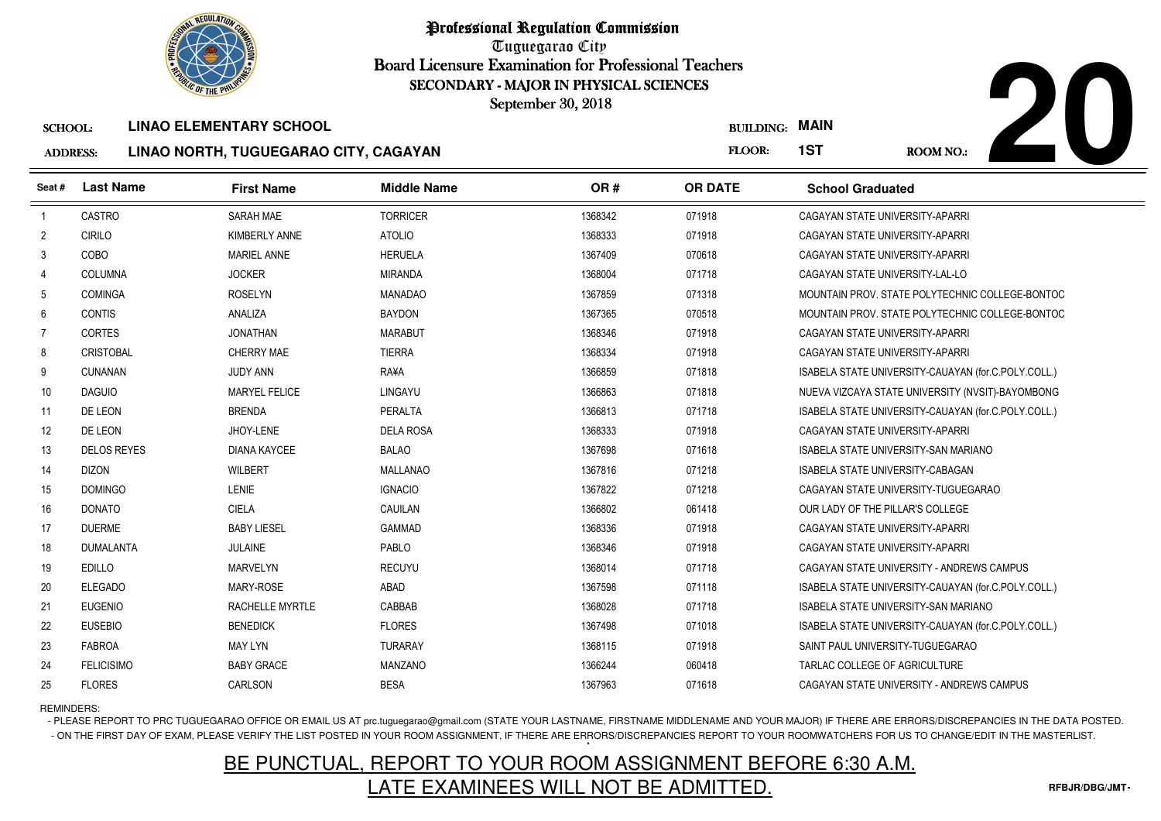

Tuguegarao City Board Licensure Examination for Professional Teachers September 30, 2018

### ADDRESS:**LINAO NORTH, TUGUEGARAO CITY, CAGAYAN**



| ADDRESS: |           | LINAU NUNTH, TUGULGANAU UITT, UAGATAN |                    |     | .              |
|----------|-----------|---------------------------------------|--------------------|-----|----------------|
| Seat #   | Last Name | <b>First Name</b>                     | <b>Middle Name</b> | OR# | <b>OR DATE</b> |
|          |           |                                       |                    |     |                |

|                 | <b><i>OLIC OF THE PHILIPS</i></b> |                                       | SECONDARY - MAJOR IN PHYSICAL SCIENCES<br>September 30, 2018 |         |                  |                                                     |
|-----------------|-----------------------------------|---------------------------------------|--------------------------------------------------------------|---------|------------------|-----------------------------------------------------|
| <b>SCHOOL:</b>  |                                   | <b>LINAO ELEMENTARY SCHOOL</b>        |                                                              |         | <b>BUILDING:</b> | <b>MAIN</b>                                         |
| <b>ADDRESS:</b> |                                   | LINAO NORTH, TUGUEGARAO CITY, CAGAYAN |                                                              |         | FLOOR:           | 1ST<br><b>ROOM NO.:</b>                             |
| Seat #          | <b>Last Name</b>                  | <b>First Name</b>                     | <b>Middle Name</b>                                           | OR#     | <b>OR DATE</b>   | <b>School Graduated</b>                             |
| $\overline{1}$  | CASTRO                            | <b>SARAH MAE</b>                      | <b>TORRICER</b>                                              | 1368342 | 071918           | CAGAYAN STATE UNIVERSITY-APARRI                     |
| $\overline{2}$  | <b>CIRILO</b>                     | KIMBERLY ANNE                         | <b>ATOLIO</b>                                                | 1368333 | 071918           | CAGAYAN STATE UNIVERSITY-APARRI                     |
| 3               | COBO                              | <b>MARIEL ANNE</b>                    | <b>HERUELA</b>                                               | 1367409 | 070618           | CAGAYAN STATE UNIVERSITY-APARRI                     |
| $\overline{4}$  | COLUMNA                           | <b>JOCKER</b>                         | <b>MIRANDA</b>                                               | 1368004 | 071718           | CAGAYAN STATE UNIVERSITY-LAL-LO                     |
| 5               | <b>COMINGA</b>                    | <b>ROSELYN</b>                        | <b>MANADAO</b>                                               | 1367859 | 071318           | MOUNTAIN PROV. STATE POLYTECHNIC COLLEGE-BONTOC     |
| 6               | <b>CONTIS</b>                     | <b>ANALIZA</b>                        | <b>BAYDON</b>                                                | 1367365 | 070518           | MOUNTAIN PROV. STATE POLYTECHNIC COLLEGE-BONTOC     |
| $\overline{7}$  | <b>CORTES</b>                     | <b>JONATHAN</b>                       | <b>MARABUT</b>                                               | 1368346 | 071918           | CAGAYAN STATE UNIVERSITY-APARRI                     |
| 8               | <b>CRISTOBAL</b>                  | CHERRY MAE                            | <b>TIERRA</b>                                                | 1368334 | 071918           | CAGAYAN STATE UNIVERSITY-APARRI                     |
| 9               | <b>CUNANAN</b>                    | <b>JUDY ANN</b>                       | <b>RA¥A</b>                                                  | 1366859 | 071818           | ISABELA STATE UNIVERSITY-CAUAYAN (for.C.POLY.COLL.) |
| 10              | <b>DAGUIO</b>                     | <b>MARYEL FELICE</b>                  | LINGAYU                                                      | 1366863 | 071818           | NUEVA VIZCAYA STATE UNIVERSITY (NVSIT)-BAYOMBONG    |
| 11              | DE LEON                           | <b>BRENDA</b>                         | PERALTA                                                      | 1366813 | 071718           | ISABELA STATE UNIVERSITY-CAUAYAN (for.C.POLY.COLL.) |
| 12              | DE LEON                           | JHOY-LENE                             | <b>DELA ROSA</b>                                             | 1368333 | 071918           | CAGAYAN STATE UNIVERSITY-APARRI                     |
| 13              | <b>DELOS REYES</b>                | <b>DIANA KAYCEE</b>                   | <b>BALAO</b>                                                 | 1367698 | 071618           | <b>ISABELA STATE UNIVERSITY-SAN MARIANO</b>         |
| 14              | <b>DIZON</b>                      | <b>WILBERT</b>                        | <b>MALLANAO</b>                                              | 1367816 | 071218           | <b>ISABELA STATE UNIVERSITY-CABAGAN</b>             |
| 15              | <b>DOMINGO</b>                    | <b>LENIE</b>                          | <b>IGNACIO</b>                                               | 1367822 | 071218           | CAGAYAN STATE UNIVERSITY-TUGUEGARAO                 |
| 16              | <b>DONATO</b>                     | <b>CIELA</b>                          | CAUILAN                                                      | 1366802 | 061418           | OUR LADY OF THE PILLAR'S COLLEGE                    |
| 17              | <b>DUERME</b>                     | <b>BABY LIESEL</b>                    | <b>GAMMAD</b>                                                | 1368336 | 071918           | CAGAYAN STATE UNIVERSITY-APARRI                     |
| 18              | <b>DUMALANTA</b>                  | <b>JULAINE</b>                        | PABLO                                                        | 1368346 | 071918           | CAGAYAN STATE UNIVERSITY-APARRI                     |
| 19              | <b>EDILLO</b>                     | <b>MARVELYN</b>                       | <b>RECUYU</b>                                                | 1368014 | 071718           | CAGAYAN STATE UNIVERSITY - ANDREWS CAMPUS           |
| 20              | <b>ELEGADO</b>                    | MARY-ROSE                             | ABAD                                                         | 1367598 | 071118           | ISABELA STATE UNIVERSITY-CAUAYAN (for.C.POLY.COLL.) |
| 21              | <b>EUGENIO</b>                    | <b>RACHELLE MYRTLE</b>                | CABBAB                                                       | 1368028 | 071718           | ISABELA STATE UNIVERSITY-SAN MARIANO                |
| 22              | <b>EUSEBIO</b>                    | <b>BENEDICK</b>                       | <b>FLORES</b>                                                | 1367498 | 071018           | ISABELA STATE UNIVERSITY-CAUAYAN (for.C.POLY.COLL.) |
| 23              | <b>FABROA</b>                     | <b>MAY LYN</b>                        | <b>TURARAY</b>                                               | 1368115 | 071918           | SAINT PAUL UNIVERSITY-TUGUEGARAO                    |
| 24              | <b>FELICISIMO</b>                 | <b>BABY GRACE</b>                     | MANZANO                                                      | 1366244 | 060418           | TARLAC COLLEGE OF AGRICULTURE                       |
| 25              | <b>FLORES</b>                     | CARLSON                               | <b>BESA</b>                                                  | 1367963 | 071618           | CAGAYAN STATE UNIVERSITY - ANDREWS CAMPUS           |

### REMINDERS:

 $\overline{a}$ 

- PLEASE REPORT TO PRC TUGUEGARAO OFFICE OR EMAIL US AT prc.tuguegarao@gmail.com (STATE YOUR LASTNAME, FIRSTNAME MIDDLENAME AND YOUR MAJOR) IF THERE ARE ERRORS/DISCREPANCIES IN THE DATA POSTED. - ON THE FIRST DAY OF EXAM, PLEASE VERIFY THE LIST POSTED IN YOUR ROOM ASSIGNMENT, IF THERE ARE ERRORS/DISCREPANCIES REPORT TO YOUR ROOMWATCHERS FOR US TO CHANGE/EDIT IN THE MASTERLIST.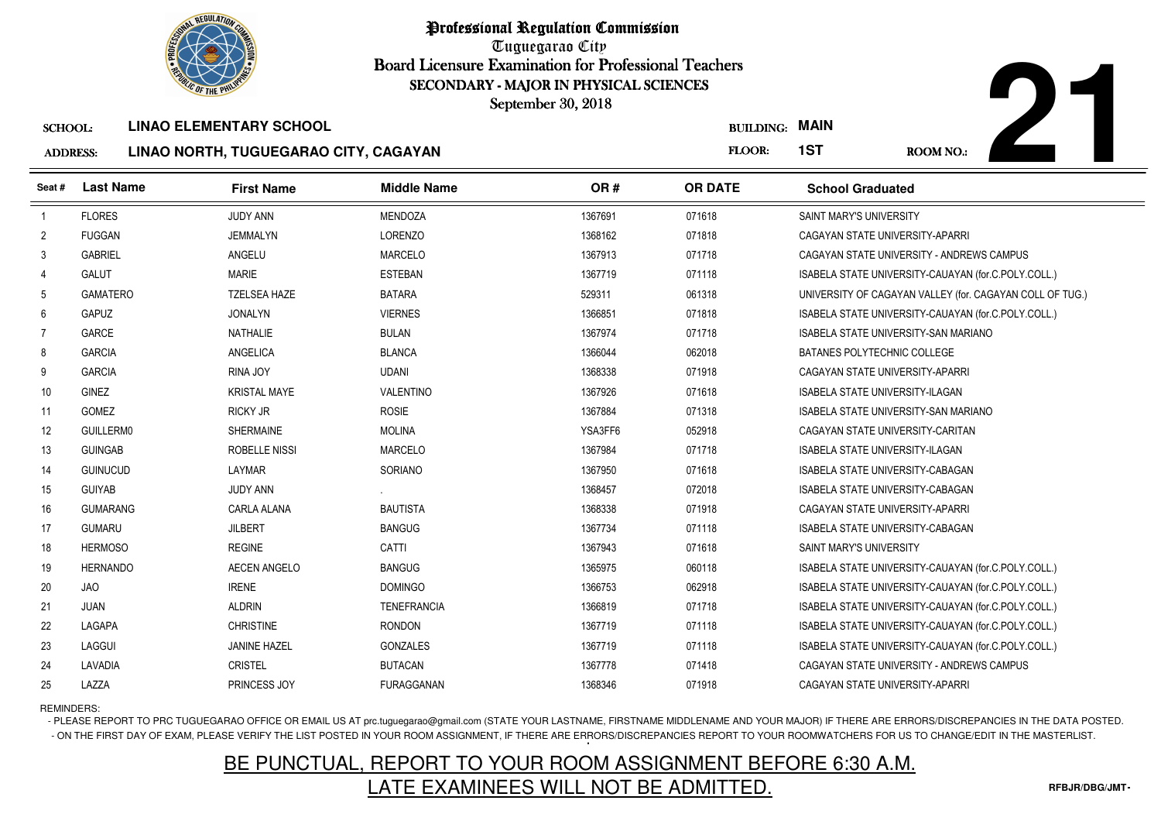

Tuguegarao City Board Licensure Examination for Professional Teachers September 30, 2018

#### **ADDRES LINAO NORTH, TUGUEGARAO CITY, CAGAYAN**



| SS: | LINAO NORTH, TUGUEGARAO CITY, CAGAYAN |
|-----|---------------------------------------|
|     |                                       |

|                 | <b>OLIC OF THE PHILIP</b> |                                       | SECONDARY - MAJOR IN PHYSICAL SCIENCES |         |                       |                                             |                                                          |
|-----------------|---------------------------|---------------------------------------|----------------------------------------|---------|-----------------------|---------------------------------------------|----------------------------------------------------------|
|                 |                           |                                       | September 30, 2018                     |         |                       |                                             |                                                          |
| <b>SCHOOL:</b>  |                           | <b>LINAO ELEMENTARY SCHOOL</b>        |                                        |         | <b>BUILDING: MAIN</b> |                                             |                                                          |
| <b>ADDRESS:</b> |                           | LINAO NORTH, TUGUEGARAO CITY, CAGAYAN |                                        |         | FLOOR:                | 1ST                                         | <b>ROOM NO.:</b>                                         |
| Seat #          | <b>Last Name</b>          | <b>First Name</b>                     | <b>Middle Name</b>                     | OR#     | <b>OR DATE</b>        | <b>School Graduated</b>                     |                                                          |
| $\overline{1}$  | <b>FLORES</b>             | JUDY ANN                              | <b>MENDOZA</b>                         | 1367691 | 071618                | SAINT MARY'S UNIVERSITY                     |                                                          |
| $\overline{2}$  | <b>FUGGAN</b>             | <b>JEMMALYN</b>                       | LORENZO                                | 1368162 | 071818                | CAGAYAN STATE UNIVERSITY-APARRI             |                                                          |
| 3               | <b>GABRIEL</b>            | ANGELU                                | <b>MARCELO</b>                         | 1367913 | 071718                |                                             | CAGAYAN STATE UNIVERSITY - ANDREWS CAMPUS                |
| $\overline{4}$  | <b>GALUT</b>              | <b>MARIE</b>                          | <b>ESTEBAN</b>                         | 1367719 | 071118                |                                             | ISABELA STATE UNIVERSITY-CAUAYAN (for.C.POLY.COLL.)      |
| 5               | <b>GAMATERO</b>           | <b>TZELSEA HAZE</b>                   | <b>BATARA</b>                          | 529311  | 061318                |                                             | UNIVERSITY OF CAGAYAN VALLEY (for. CAGAYAN COLL OF TUG.) |
| 6               | <b>GAPUZ</b>              | <b>JONALYN</b>                        | <b>VIERNES</b>                         | 1366851 | 071818                |                                             | ISABELA STATE UNIVERSITY-CAUAYAN (for.C.POLY.COLL.)      |
| 7               | <b>GARCE</b>              | <b>NATHALIE</b>                       | <b>BULAN</b>                           | 1367974 | 071718                | <b>ISABELA STATE UNIVERSITY-SAN MARIANO</b> |                                                          |
| 8               | <b>GARCIA</b>             | ANGELICA                              | <b>BLANCA</b>                          | 1366044 | 062018                | BATANES POLYTECHNIC COLLEGE                 |                                                          |
| 9               | <b>GARCIA</b>             | RINA JOY                              | <b>UDANI</b>                           | 1368338 | 071918                | CAGAYAN STATE UNIVERSITY-APARRI             |                                                          |
| 10              | <b>GINEZ</b>              | <b>KRISTAL MAYE</b>                   | VALENTINO                              | 1367926 | 071618                | ISABELA STATE UNIVERSITY-ILAGAN             |                                                          |
| 11              | GOMEZ                     | <b>RICKY JR</b>                       | <b>ROSIE</b>                           | 1367884 | 071318                | ISABELA STATE UNIVERSITY-SAN MARIANO        |                                                          |
| 12              | <b>GUILLERM0</b>          | <b>SHERMAINE</b>                      | <b>MOLINA</b>                          | YSA3FF6 | 052918                | CAGAYAN STATE UNIVERSITY-CARITAN            |                                                          |
| 13              | <b>GUINGAB</b>            | ROBELLE NISSI                         | <b>MARCELO</b>                         | 1367984 | 071718                | ISABELA STATE UNIVERSITY-ILAGAN             |                                                          |
| 14              | <b>GUINUCUD</b>           | LAYMAR                                | SORIANO                                | 1367950 | 071618                | ISABELA STATE UNIVERSITY-CABAGAN            |                                                          |
| 15              | <b>GUIYAB</b>             | <b>JUDY ANN</b>                       |                                        | 1368457 | 072018                | ISABELA STATE UNIVERSITY-CABAGAN            |                                                          |
| 16              | <b>GUMARANG</b>           | CARLA ALANA                           | <b>BAUTISTA</b>                        | 1368338 | 071918                | CAGAYAN STATE UNIVERSITY-APARRI             |                                                          |
| 17              | <b>GUMARU</b>             | <b>JILBERT</b>                        | <b>BANGUG</b>                          | 1367734 | 071118                | ISABELA STATE UNIVERSITY-CABAGAN            |                                                          |
| 18              | <b>HERMOSO</b>            | <b>REGINE</b>                         | CATTI                                  | 1367943 | 071618                | SAINT MARY'S UNIVERSITY                     |                                                          |
| 19              | <b>HERNANDO</b>           | <b>AECEN ANGELO</b>                   | <b>BANGUG</b>                          | 1365975 | 060118                |                                             | ISABELA STATE UNIVERSITY-CAUAYAN (for.C.POLY.COLL.)      |
| 20              | <b>JAO</b>                | <b>IRENE</b>                          | <b>DOMINGO</b>                         | 1366753 | 062918                |                                             | ISABELA STATE UNIVERSITY-CAUAYAN (for.C.POLY.COLL.)      |
| 21              | <b>JUAN</b>               | <b>ALDRIN</b>                         | <b>TENEFRANCIA</b>                     | 1366819 | 071718                |                                             | ISABELA STATE UNIVERSITY-CAUAYAN (for.C.POLY.COLL.)      |
| 22              | LAGAPA                    | <b>CHRISTINE</b>                      | <b>RONDON</b>                          | 1367719 | 071118                |                                             | ISABELA STATE UNIVERSITY-CAUAYAN (for.C.POLY.COLL.)      |
| 23              | LAGGUI                    | <b>JANINE HAZEL</b>                   | <b>GONZALES</b>                        | 1367719 | 071118                |                                             | ISABELA STATE UNIVERSITY-CAUAYAN (for.C.POLY.COLL.)      |
| 24              | LAVADIA                   | <b>CRISTEL</b>                        | <b>BUTACAN</b>                         | 1367778 | 071418                |                                             | CAGAYAN STATE UNIVERSITY - ANDREWS CAMPUS                |
| 25              | LAZZA                     | PRINCESS JOY                          | FURAGGANAN                             | 1368346 | 071918                | CAGAYAN STATE UNIVERSITY-APARRI             |                                                          |

REMINDERS:

- PLEASE REPORT TO PRC TUGUEGARAO OFFICE OR EMAIL US AT prc.tuguegarao@gmail.com (STATE YOUR LASTNAME, FIRSTNAME MIDDLENAME AND YOUR MAJOR) IF THERE ARE ERRORS/DISCREPANCIES IN THE DATA POSTED. - ON THE FIRST DAY OF EXAM, PLEASE VERIFY THE LIST POSTED IN YOUR ROOM ASSIGNMENT, IF THERE ARE ERRORS/DISCREPANCIES REPORT TO YOUR ROOMWATCHERS FOR US TO CHANGE/EDIT IN THE MASTERLIST.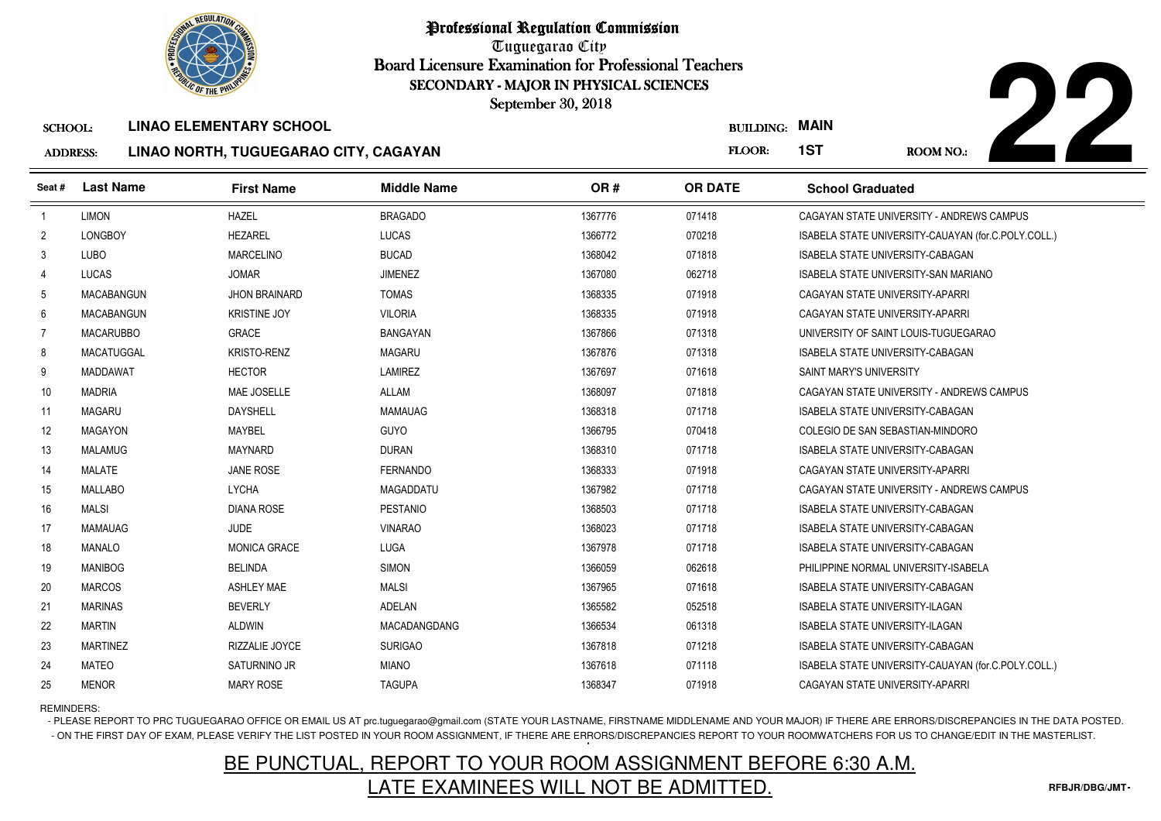

Tuguegarao City Board Licensure Examination for Professional Teachers September 30, 2018

### ADDRESS:**LINAO NORTH, TUGUEGARAO CITY, CAGAYAN**



|                 | <b><i>OLIC OF THE PHILIP</i></b> |                                       | SECONDARY - MAJOR IN PHYSICAL SCIENCES |         |                       |                                                     |
|-----------------|----------------------------------|---------------------------------------|----------------------------------------|---------|-----------------------|-----------------------------------------------------|
|                 |                                  |                                       | September 30, 2018                     |         |                       |                                                     |
| <b>SCHOOL:</b>  |                                  | <b>LINAO ELEMENTARY SCHOOL</b>        |                                        |         | <b>BUILDING: MAIN</b> |                                                     |
| <b>ADDRESS:</b> |                                  | LINAO NORTH, TUGUEGARAO CITY, CAGAYAN |                                        |         | FLOOR:                | 1ST<br><b>ROOM NO.:</b>                             |
| Seat#           | <b>Last Name</b>                 | <b>First Name</b>                     | <b>Middle Name</b>                     | OR#     | <b>OR DATE</b>        | <b>School Graduated</b>                             |
| $\overline{1}$  | <b>LIMON</b>                     | <b>HAZEL</b>                          | <b>BRAGADO</b>                         | 1367776 | 071418                | CAGAYAN STATE UNIVERSITY - ANDREWS CAMPUS           |
| $\overline{2}$  | <b>LONGBOY</b>                   | <b>HEZAREL</b>                        | LUCAS                                  | 1366772 | 070218                | ISABELA STATE UNIVERSITY-CAUAYAN (for.C.POLY.COLL.) |
| 3               | <b>LUBO</b>                      | <b>MARCELINO</b>                      | <b>BUCAD</b>                           | 1368042 | 071818                | ISABELA STATE UNIVERSITY-CABAGAN                    |
| 4               | <b>LUCAS</b>                     | <b>JOMAR</b>                          | <b>JIMENEZ</b>                         | 1367080 | 062718                | <b>ISABELA STATE UNIVERSITY-SAN MARIANO</b>         |
| 5               | <b>MACABANGUN</b>                | <b>JHON BRAINARD</b>                  | <b>TOMAS</b>                           | 1368335 | 071918                | CAGAYAN STATE UNIVERSITY-APARRI                     |
| 6               | <b>MACABANGUN</b>                | <b>KRISTINE JOY</b>                   | <b>VILORIA</b>                         | 1368335 | 071918                | CAGAYAN STATE UNIVERSITY-APARRI                     |
| 7               | <b>MACARUBBO</b>                 | <b>GRACE</b>                          | <b>BANGAYAN</b>                        | 1367866 | 071318                | UNIVERSITY OF SAINT LOUIS-TUGUEGARAO                |
| 8               | MACATUGGAL                       | <b>KRISTO-RENZ</b>                    | <b>MAGARU</b>                          | 1367876 | 071318                | ISABELA STATE UNIVERSITY-CABAGAN                    |
| 9               | MADDAWAT                         | <b>HECTOR</b>                         | <b>LAMIREZ</b>                         | 1367697 | 071618                | <b>SAINT MARY'S UNIVERSITY</b>                      |
| 10              | <b>MADRIA</b>                    | MAE JOSELLE                           | <b>ALLAM</b>                           | 1368097 | 071818                | CAGAYAN STATE UNIVERSITY - ANDREWS CAMPUS           |
| 11              | <b>MAGARU</b>                    | <b>DAYSHELL</b>                       | <b>MAMAUAG</b>                         | 1368318 | 071718                | ISABELA STATE UNIVERSITY-CABAGAN                    |
| 12              | <b>MAGAYON</b>                   | <b>MAYBEL</b>                         | <b>GUYO</b>                            | 1366795 | 070418                | COLEGIO DE SAN SEBASTIAN-MINDORO                    |
| 13              | <b>MALAMUG</b>                   | <b>MAYNARD</b>                        | <b>DURAN</b>                           | 1368310 | 071718                | <b>ISABELA STATE UNIVERSITY-CABAGAN</b>             |
| 14              | <b>MALATE</b>                    | <b>JANE ROSE</b>                      | <b>FERNANDO</b>                        | 1368333 | 071918                | CAGAYAN STATE UNIVERSITY-APARRI                     |
| 15              | <b>MALLABO</b>                   | <b>LYCHA</b>                          | <b>MAGADDATU</b>                       | 1367982 | 071718                | CAGAYAN STATE UNIVERSITY - ANDREWS CAMPUS           |
| 16              | <b>MALSI</b>                     | <b>DIANA ROSE</b>                     | <b>PESTANIO</b>                        | 1368503 | 071718                | ISABELA STATE UNIVERSITY-CABAGAN                    |
| 17              | <b>MAMAUAG</b>                   | <b>JUDE</b>                           | <b>VINARAO</b>                         | 1368023 | 071718                | ISABELA STATE UNIVERSITY-CABAGAN                    |
| 18              | <b>MANALO</b>                    | <b>MONICA GRACE</b>                   | LUGA                                   | 1367978 | 071718                | ISABELA STATE UNIVERSITY-CABAGAN                    |
| 19              | <b>MANIBOG</b>                   | <b>BELINDA</b>                        | SIMON                                  | 1366059 | 062618                | PHILIPPINE NORMAL UNIVERSITY-ISABELA                |
| 20              | <b>MARCOS</b>                    | <b>ASHLEY MAE</b>                     | <b>MALSI</b>                           | 1367965 | 071618                | ISABELA STATE UNIVERSITY-CABAGAN                    |
| 21              | <b>MARINAS</b>                   | <b>BEVERLY</b>                        | ADELAN                                 | 1365582 | 052518                | ISABELA STATE UNIVERSITY-ILAGAN                     |
| 22              | <b>MARTIN</b>                    | <b>ALDWIN</b>                         | MACADANGDANG                           | 1366534 | 061318                | ISABELA STATE UNIVERSITY-ILAGAN                     |
| 23              | <b>MARTINEZ</b>                  | RIZZALIE JOYCE                        | <b>SURIGAO</b>                         | 1367818 | 071218                | ISABELA STATE UNIVERSITY-CABAGAN                    |
| 24              | <b>MATEO</b>                     | SATURNINO JR                          | <b>MIANO</b>                           | 1367618 | 071118                | ISABELA STATE UNIVERSITY-CAUAYAN (for.C.POLY.COLL.) |
| 25              | <b>MENOR</b>                     | <b>MARY ROSE</b>                      | <b>TAGUPA</b>                          | 1368347 | 071918                | CAGAYAN STATE UNIVERSITY-APARRI                     |

REMINDERS:

- PLEASE REPORT TO PRC TUGUEGARAO OFFICE OR EMAIL US AT prc.tuguegarao@gmail.com (STATE YOUR LASTNAME, FIRSTNAME MIDDLENAME AND YOUR MAJOR) IF THERE ARE ERRORS/DISCREPANCIES IN THE DATA POSTED. - ON THE FIRST DAY OF EXAM, PLEASE VERIFY THE LIST POSTED IN YOUR ROOM ASSIGNMENT, IF THERE ARE ERRORS/DISCREPANCIES REPORT TO YOUR ROOMWATCHERS FOR US TO CHANGE/EDIT IN THE MASTERLIST.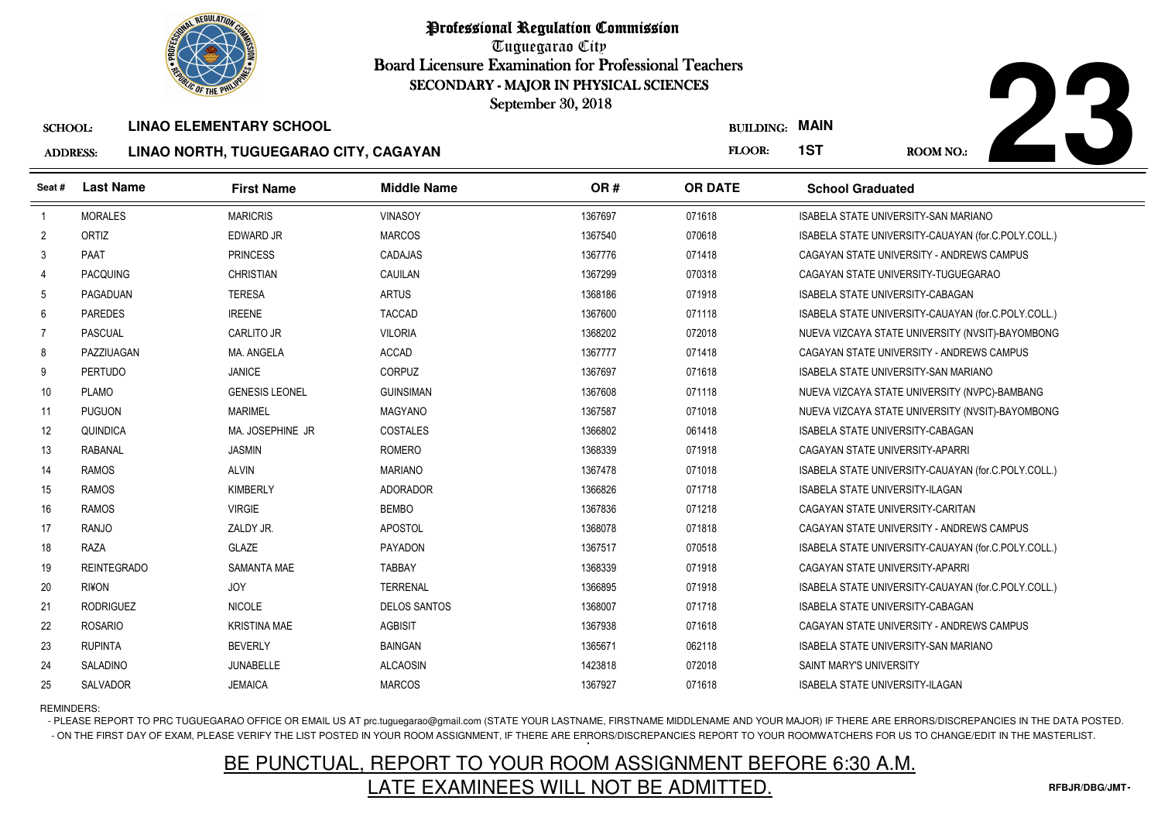

Professional Regulation CommissionTuguegarao City

 Board Licensure Examination for Professional Teachers September 30, 2018

#### AD<sub>D</sub> **LINAO NORTH, TUGUEGARAO CITY, CAGAYAN**



|                 | <b><i>OLIC OF THE PHILIP</i></b> |                                       | SECONDARY - MAJOR IN PHYSICAL SCIENCES<br>September 30, 2018 |         |                  |                                                     |
|-----------------|----------------------------------|---------------------------------------|--------------------------------------------------------------|---------|------------------|-----------------------------------------------------|
| <b>SCHOOL:</b>  |                                  | <b>LINAO ELEMENTARY SCHOOL</b>        |                                                              |         | <b>BUILDING:</b> | <b>MAIN</b>                                         |
| <b>ADDRESS:</b> |                                  | LINAO NORTH, TUGUEGARAO CITY, CAGAYAN |                                                              |         | FLOOR:           | 1ST<br><b>ROOM NO.:</b>                             |
| Seat#           | <b>Last Name</b>                 | <b>First Name</b>                     | <b>Middle Name</b>                                           | OR#     | <b>OR DATE</b>   | <b>School Graduated</b>                             |
| $\overline{1}$  | <b>MORALES</b>                   | <b>MARICRIS</b>                       | <b>VINASOY</b>                                               | 1367697 | 071618           | ISABELA STATE UNIVERSITY-SAN MARIANO                |
| $\overline{2}$  | ORTIZ                            | <b>EDWARD JR</b>                      | <b>MARCOS</b>                                                | 1367540 | 070618           | ISABELA STATE UNIVERSITY-CAUAYAN (for.C.POLY.COLL.) |
| 3               | PAAT                             | <b>PRINCESS</b>                       | <b>CADAJAS</b>                                               | 1367776 | 071418           | CAGAYAN STATE UNIVERSITY - ANDREWS CAMPUS           |
| 4               | <b>PACQUING</b>                  | <b>CHRISTIAN</b>                      | CAUILAN                                                      | 1367299 | 070318           | CAGAYAN STATE UNIVERSITY-TUGUEGARAO                 |
| 5               | PAGADUAN                         | <b>TERESA</b>                         | <b>ARTUS</b>                                                 | 1368186 | 071918           | ISABELA STATE UNIVERSITY-CABAGAN                    |
| 6               | <b>PAREDES</b>                   | <b>IREENE</b>                         | <b>TACCAD</b>                                                | 1367600 | 071118           | ISABELA STATE UNIVERSITY-CAUAYAN (for.C.POLY.COLL.) |
| $\overline{7}$  | <b>PASCUAL</b>                   | <b>CARLITO JR</b>                     | <b>VILORIA</b>                                               | 1368202 | 072018           | NUEVA VIZCAYA STATE UNIVERSITY (NVSIT)-BAYOMBONG    |
| 8               | PAZZIUAGAN                       | MA. ANGELA                            | <b>ACCAD</b>                                                 | 1367777 | 071418           | CAGAYAN STATE UNIVERSITY - ANDREWS CAMPUS           |
| 9               | <b>PERTUDO</b>                   | <b>JANICE</b>                         | <b>CORPUZ</b>                                                | 1367697 | 071618           | <b>ISABELA STATE UNIVERSITY-SAN MARIANO</b>         |
| 10              | <b>PLAMO</b>                     | <b>GENESIS LEONEL</b>                 | <b>GUINSIMAN</b>                                             | 1367608 | 071118           | NUEVA VIZCAYA STATE UNIVERSITY (NVPC)-BAMBANG       |
| 11              | <b>PUGUON</b>                    | <b>MARIMEL</b>                        | <b>MAGYANO</b>                                               | 1367587 | 071018           | NUEVA VIZCAYA STATE UNIVERSITY (NVSIT)-BAYOMBONG    |
| 12              | QUINDICA                         | MA, JOSEPHINE JR                      | <b>COSTALES</b>                                              | 1366802 | 061418           | <b>ISABELA STATE UNIVERSITY-CABAGAN</b>             |
| 13              | <b>RABANAL</b>                   | <b>JASMIN</b>                         | <b>ROMERO</b>                                                | 1368339 | 071918           | CAGAYAN STATE UNIVERSITY-APARRI                     |
| 14              | <b>RAMOS</b>                     | <b>ALVIN</b>                          | <b>MARIANO</b>                                               | 1367478 | 071018           | ISABELA STATE UNIVERSITY-CAUAYAN (for.C.POLY.COLL.) |
| 15              | <b>RAMOS</b>                     | <b>KIMBERLY</b>                       | <b>ADORADOR</b>                                              | 1366826 | 071718           | ISABELA STATE UNIVERSITY-ILAGAN                     |
| 16              | <b>RAMOS</b>                     | <b>VIRGIE</b>                         | <b>BEMBO</b>                                                 | 1367836 | 071218           | CAGAYAN STATE UNIVERSITY-CARITAN                    |
| 17              | <b>RANJO</b>                     | ZALDY JR.                             | <b>APOSTOL</b>                                               | 1368078 | 071818           | CAGAYAN STATE UNIVERSITY - ANDREWS CAMPUS           |
| 18              | RAZA                             | <b>GLAZE</b>                          | <b>PAYADON</b>                                               | 1367517 | 070518           | ISABELA STATE UNIVERSITY-CAUAYAN (for.C.POLY.COLL.) |
| 19              | <b>REINTEGRADO</b>               | <b>SAMANTA MAE</b>                    | <b>TABBAY</b>                                                | 1368339 | 071918           | CAGAYAN STATE UNIVERSITY-APARRI                     |
| 20              | RI¥ON                            | <b>JOY</b>                            | <b>TERRENAL</b>                                              | 1366895 | 071918           | ISABELA STATE UNIVERSITY-CAUAYAN (for.C.POLY.COLL.) |
| 21              | <b>RODRIGUEZ</b>                 | <b>NICOLE</b>                         | <b>DELOS SANTOS</b>                                          | 1368007 | 071718           | ISABELA STATE UNIVERSITY-CABAGAN                    |
| 22              | <b>ROSARIO</b>                   | <b>KRISTINA MAE</b>                   | <b>AGBISIT</b>                                               | 1367938 | 071618           | CAGAYAN STATE UNIVERSITY - ANDREWS CAMPUS           |
| 23              | <b>RUPINTA</b>                   | <b>BEVERLY</b>                        | <b>BAINGAN</b>                                               | 1365671 | 062118           | <b>ISABELA STATE UNIVERSITY-SAN MARIANO</b>         |
| 24              | SALADINO                         | JUNABELLE                             | <b>ALCAOSIN</b>                                              | 1423818 | 072018           | SAINT MARY'S UNIVERSITY                             |
| 25              | SALVADOR                         | <b>JEMAICA</b>                        | <b>MARCOS</b>                                                | 1367927 | 071618           | ISABELA STATE UNIVERSITY-ILAGAN                     |

REMINDERS:

- PLEASE REPORT TO PRC TUGUEGARAO OFFICE OR EMAIL US AT prc.tuguegarao@gmail.com (STATE YOUR LASTNAME, FIRSTNAME MIDDLENAME AND YOUR MAJOR) IF THERE ARE ERRORS/DISCREPANCIES IN THE DATA POSTED. - ON THE FIRST DAY OF EXAM, PLEASE VERIFY THE LIST POSTED IN YOUR ROOM ASSIGNMENT, IF THERE ARE ERRORS/DISCREPANCIES REPORT TO YOUR ROOMWATCHERS FOR US TO CHANGE/EDIT IN THE MASTERLIST.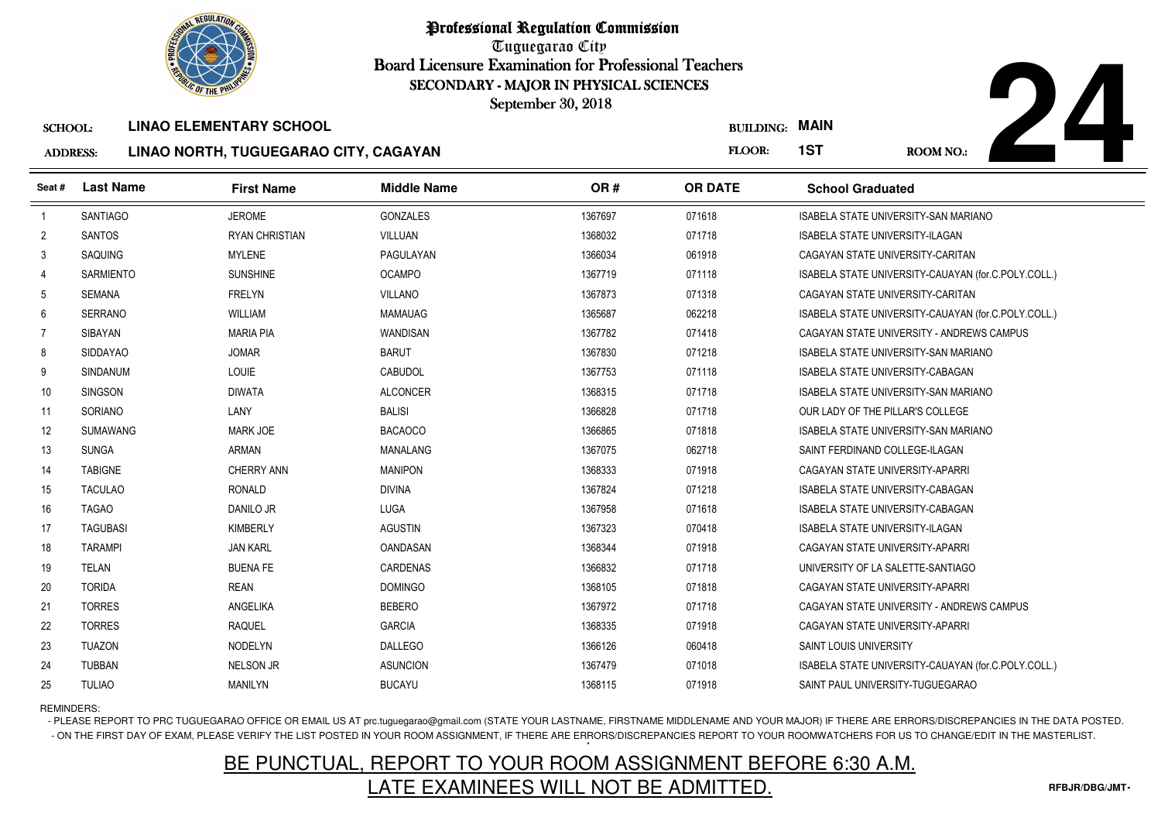

Tuguegarao City Board Licensure Examination for Professional Teachers September 30, 2018

### ADDRESS:**LINAO NORTH, TUGUEGARAO CITY, CAGAYAN**



|                 | <b><i>OLIC OF THE PHILIPS</i></b> |                                       | SECONDARY - MAJOR IN PHYSICAL SCIENCES<br>September 30, 2018 |         |                  |                                                     |  |
|-----------------|-----------------------------------|---------------------------------------|--------------------------------------------------------------|---------|------------------|-----------------------------------------------------|--|
| <b>SCHOOL:</b>  |                                   | <b>LINAO ELEMENTARY SCHOOL</b>        |                                                              |         | <b>BUILDING:</b> | <b>MAIN</b>                                         |  |
| <b>ADDRESS:</b> |                                   | LINAO NORTH, TUGUEGARAO CITY, CAGAYAN |                                                              |         | FLOOR:           | 1ST<br><b>ROOM NO.:</b>                             |  |
| Seat #          | <b>Last Name</b>                  | <b>First Name</b>                     | <b>Middle Name</b>                                           | OR#     | <b>OR DATE</b>   | <b>School Graduated</b>                             |  |
| $\overline{1}$  | <b>SANTIAGO</b>                   | <b>JEROME</b>                         | <b>GONZALES</b>                                              | 1367697 | 071618           | ISABELA STATE UNIVERSITY-SAN MARIANO                |  |
| $\overline{2}$  | <b>SANTOS</b>                     | <b>RYAN CHRISTIAN</b>                 | VILLUAN                                                      | 1368032 | 071718           | ISABELA STATE UNIVERSITY-ILAGAN                     |  |
| 3               | SAQUING                           | <b>MYLENE</b>                         | PAGULAYAN                                                    | 1366034 | 061918           | CAGAYAN STATE UNIVERSITY-CARITAN                    |  |
| $\overline{4}$  | <b>SARMIENTO</b>                  | <b>SUNSHINE</b>                       | <b>OCAMPO</b>                                                | 1367719 | 071118           | ISABELA STATE UNIVERSITY-CAUAYAN (for.C.POLY.COLL.) |  |
| 5               | SEMANA                            | <b>FRELYN</b>                         | <b>VILLANO</b>                                               | 1367873 | 071318           | CAGAYAN STATE UNIVERSITY-CARITAN                    |  |
| 6               | <b>SERRANO</b>                    | <b>WILLIAM</b>                        | <b>MAMAUAG</b>                                               | 1365687 | 062218           | ISABELA STATE UNIVERSITY-CAUAYAN (for.C.POLY.COLL.) |  |
| $\overline{7}$  | <b>SIBAYAN</b>                    | <b>MARIA PIA</b>                      | <b>WANDISAN</b>                                              | 1367782 | 071418           | CAGAYAN STATE UNIVERSITY - ANDREWS CAMPUS           |  |
| 8               | <b>SIDDAYAO</b>                   | <b>JOMAR</b>                          | <b>BARUT</b>                                                 | 1367830 | 071218           | ISABELA STATE UNIVERSITY-SAN MARIANO                |  |
| 9               | <b>SINDANUM</b>                   | LOUIE                                 | CABUDOL                                                      | 1367753 | 071118           | <b>ISABELA STATE UNIVERSITY-CABAGAN</b>             |  |
| 10              | SINGSON                           | <b>DIWATA</b>                         | <b>ALCONCER</b>                                              | 1368315 | 071718           | ISABELA STATE UNIVERSITY-SAN MARIANO                |  |
| 11              | SORIANO                           | LANY                                  | <b>BALISI</b>                                                | 1366828 | 071718           | OUR LADY OF THE PILLAR'S COLLEGE                    |  |
| 12              | <b>SUMAWANG</b>                   | <b>MARK JOE</b>                       | <b>BACAOCO</b>                                               | 1366865 | 071818           | <b>ISABELA STATE UNIVERSITY-SAN MARIANO</b>         |  |
| 13              | <b>SUNGA</b>                      | <b>ARMAN</b>                          | <b>MANALANG</b>                                              | 1367075 | 062718           | SAINT FERDINAND COLLEGE-ILAGAN                      |  |
| 14              | <b>TABIGNE</b>                    | <b>CHERRY ANN</b>                     | <b>MANIPON</b>                                               | 1368333 | 071918           | CAGAYAN STATE UNIVERSITY-APARRI                     |  |
| 15              | <b>TACULAO</b>                    | <b>RONALD</b>                         | <b>DIVINA</b>                                                | 1367824 | 071218           | <b>ISABELA STATE UNIVERSITY-CABAGAN</b>             |  |
| 16              | <b>TAGAO</b>                      | DANILO JR                             | <b>LUGA</b>                                                  | 1367958 | 071618           | ISABELA STATE UNIVERSITY-CABAGAN                    |  |
| 17              | <b>TAGUBASI</b>                   | <b>KIMBERLY</b>                       | <b>AGUSTIN</b>                                               | 1367323 | 070418           | <b>ISABELA STATE UNIVERSITY-ILAGAN</b>              |  |
| 18              | <b>TARAMPI</b>                    | <b>JAN KARL</b>                       | <b>OANDASAN</b>                                              | 1368344 | 071918           | CAGAYAN STATE UNIVERSITY-APARRI                     |  |
| 19              | <b>TELAN</b>                      | <b>BUENA FE</b>                       | CARDENAS                                                     | 1366832 | 071718           | UNIVERSITY OF LA SALETTE-SANTIAGO                   |  |
| 20              | <b>TORIDA</b>                     | <b>REAN</b>                           | <b>DOMINGO</b>                                               | 1368105 | 071818           | CAGAYAN STATE UNIVERSITY-APARRI                     |  |
| 21              | <b>TORRES</b>                     | ANGELIKA                              | <b>BEBERO</b>                                                | 1367972 | 071718           | CAGAYAN STATE UNIVERSITY - ANDREWS CAMPUS           |  |
| 22              | <b>TORRES</b>                     | <b>RAQUEL</b>                         | <b>GARCIA</b>                                                | 1368335 | 071918           | CAGAYAN STATE UNIVERSITY-APARRI                     |  |
| 23              | <b>TUAZON</b>                     | <b>NODELYN</b>                        | <b>DALLEGO</b>                                               | 1366126 | 060418           | <b>SAINT LOUIS UNIVERSITY</b>                       |  |
| 24              | <b>TUBBAN</b>                     | <b>NELSON JR</b>                      | <b>ASUNCION</b>                                              | 1367479 | 071018           | ISABELA STATE UNIVERSITY-CAUAYAN (for.C.POLY.COLL.) |  |
| 25              | <b>TULIAO</b>                     | MANILYN                               | <b>BUCAYU</b>                                                | 1368115 | 071918           | SAINT PAUL UNIVERSITY-TUGUEGARAO                    |  |

REMINDERS:

- PLEASE REPORT TO PRC TUGUEGARAO OFFICE OR EMAIL US AT prc.tuguegarao@gmail.com (STATE YOUR LASTNAME, FIRSTNAME MIDDLENAME AND YOUR MAJOR) IF THERE ARE ERRORS/DISCREPANCIES IN THE DATA POSTED. - ON THE FIRST DAY OF EXAM, PLEASE VERIFY THE LIST POSTED IN YOUR ROOM ASSIGNMENT, IF THERE ARE ERRORS/DISCREPANCIES REPORT TO YOUR ROOMWATCHERS FOR US TO CHANGE/EDIT IN THE MASTERLIST.